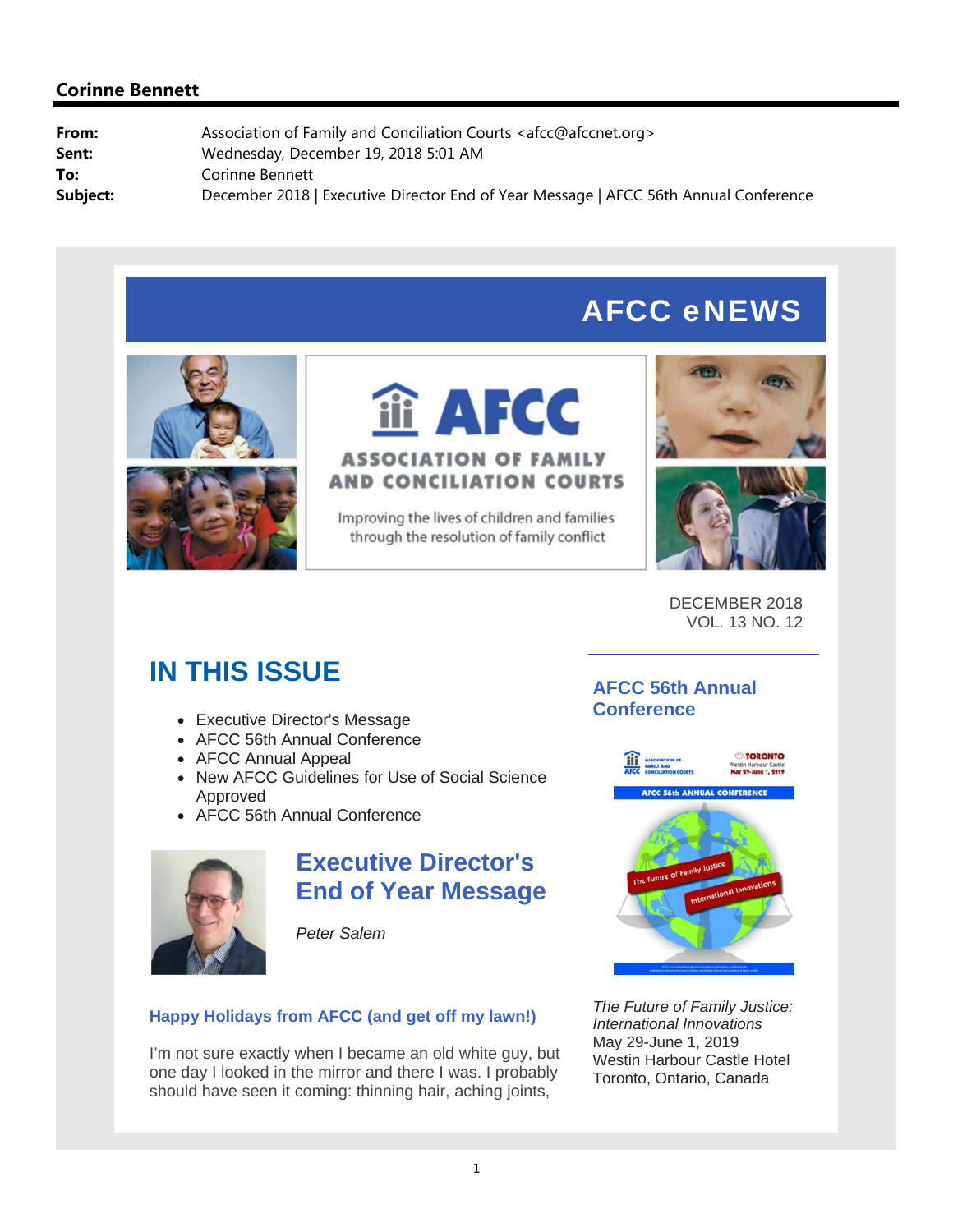# AFCC eNEWS





# iii AFCC **ASSOCIATION OF FAMILY AND CONCILIATION COURTS**

Improving the lives of children and families through the resolution of family conflict





DECEMBER 2018 VOL. 13 NO. 12

# **IN THIS ISSUE**

- Executive Director's Message
- AFCC 56th Annual Conference
- AFCC Annual Appeal
- New AFCC Guidelines for Use of Social Science Approved
- AFCC 56th Annual Conference



## **Executive Director's End of Year Message**

*Peter Salem*

## **Happy Holidays from AFCC (and get off my lawn!)**

I'm not sure exactly when I became an old white guy, but one day I looked in the mirror and there I was. I probably should have seen it coming: thinning hair, aching joints,

## **AFCC 56th Annual Conference**



*The Future of Family Justice: International Innovations* May 29-June 1, 2019 Westin Harbour Castle Hotel Toronto, Ontario, Canada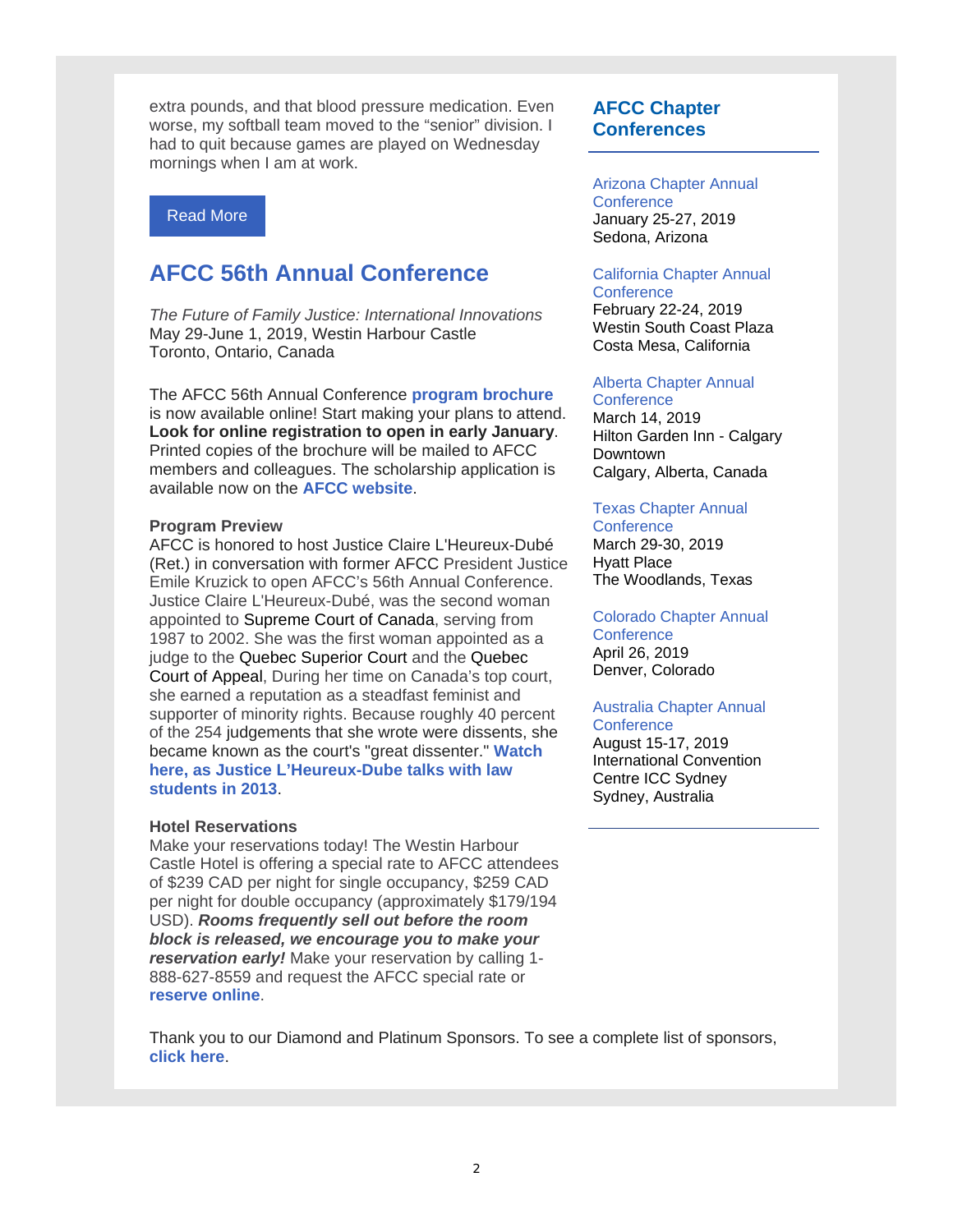extra pounds, and that blood pressure medication. Even worse, my softball team moved to the "senior" division. I had to quit because games are played on Wednesday mornings when I am at work.

### Read More

## **AFCC 56th Annual Conference**

*The Future of Family Justice: International Innovations* May 29-June 1, 2019, Westin Harbour Castle Toronto, Ontario, Canada

The AFCC 56th Annual Conference **program brochure** is now available online! Start making your plans to attend. **Look for online registration to open in early January**. Printed copies of the brochure will be mailed to AFCC members and colleagues. The scholarship application is available now on the **AFCC website**.

#### **Program Preview**

AFCC is honored to host Justice Claire L'Heureux-Dubé (Ret.) in conversation with former AFCC President Justice Emile Kruzick to open AFCC's 56th Annual Conference. Justice Claire L'Heureux-Dubé, was the second woman appointed to Supreme Court of Canada, serving from 1987 to 2002. She was the first woman appointed as a judge to the Quebec Superior Court and the Quebec Court of Appeal, During her time on Canada's top court, she earned a reputation as a steadfast feminist and supporter of minority rights. Because roughly 40 percent of the 254 judgements that she wrote were dissents, she became known as the court's "great dissenter." **Watch here, as Justice L'Heureux-Dube talks with law students in 2013**.

#### **Hotel Reservations**

Make your reservations today! The Westin Harbour Castle Hotel is offering a special rate to AFCC attendees of \$239 CAD per night for single occupancy, \$259 CAD per night for double occupancy (approximately \$179/194 USD). *Rooms frequently sell out before the room block is released, we encourage you to make your reservation early!* Make your reservation by calling 1- 888-627-8559 and request the AFCC special rate or **reserve online**.

### **AFCC Chapter Conferences**

### Arizona Chapter Annual **Conference**

January 25-27, 2019 Sedona, Arizona

#### California Chapter Annual **Conference**

February 22-24, 2019 Westin South Coast Plaza Costa Mesa, California

### Alberta Chapter Annual

**Conference** March 14, 2019 Hilton Garden Inn - Calgary Downtown Calgary, Alberta, Canada

### Texas Chapter Annual

**Conference** March 29-30, 2019 Hyatt Place The Woodlands, Texas

### Colorado Chapter Annual

**Conference** April 26, 2019 Denver, Colorado

#### Australia Chapter Annual **Conference**

August 15-17, 2019 International Convention Centre ICC Sydney Sydney, Australia

Thank you to our Diamond and Platinum Sponsors. To see a complete list of sponsors, **click here**.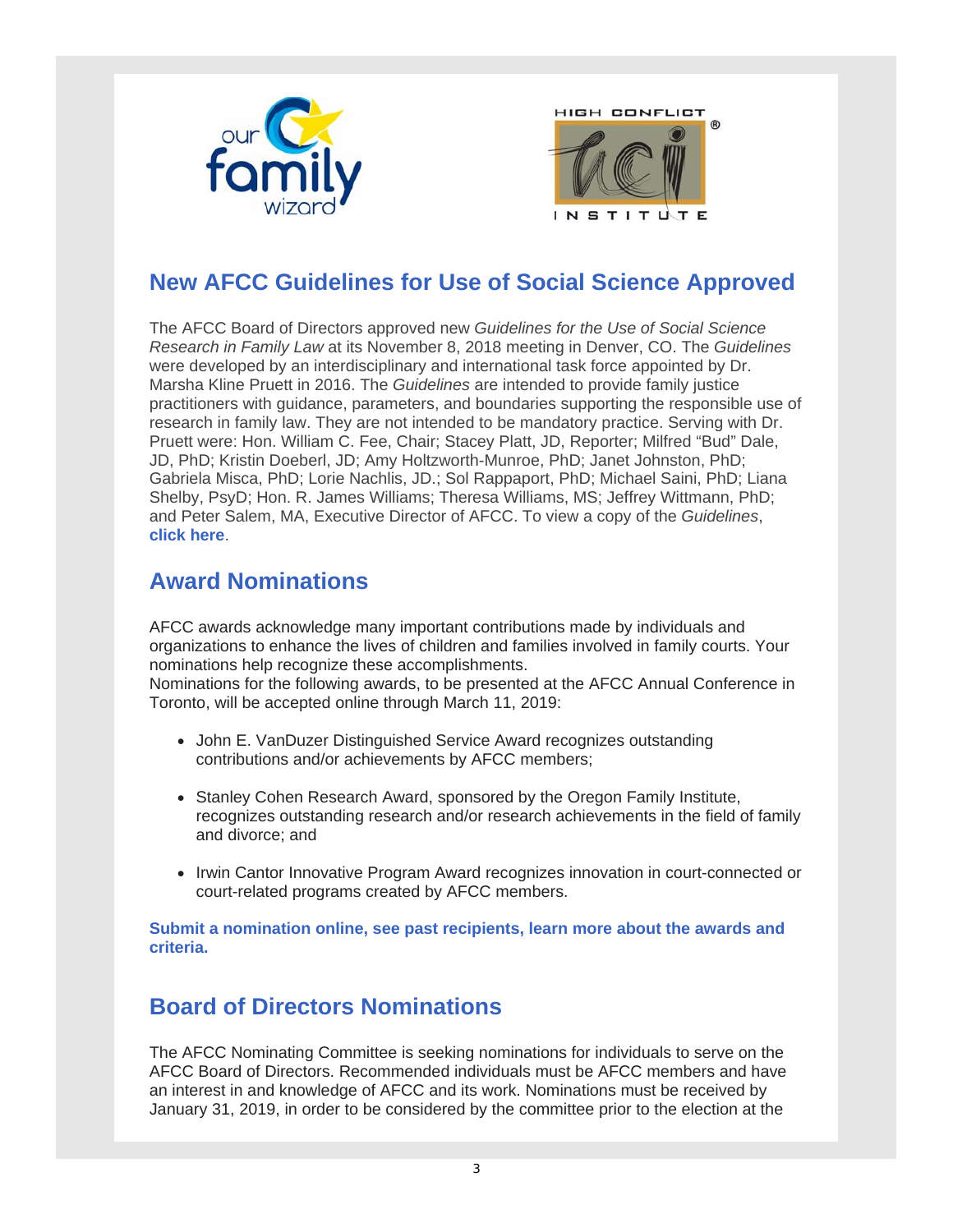



# **New AFCC Guidelines for Use of Social Science Approved**

The AFCC Board of Directors approved new *Guidelines for the Use of Social Science Research in Family Law* at its November 8, 2018 meeting in Denver, CO. The *Guidelines* were developed by an interdisciplinary and international task force appointed by Dr. Marsha Kline Pruett in 2016. The *Guidelines* are intended to provide family justice practitioners with guidance, parameters, and boundaries supporting the responsible use of research in family law. They are not intended to be mandatory practice. Serving with Dr. Pruett were: Hon. William C. Fee, Chair; Stacey Platt, JD, Reporter; Milfred "Bud" Dale, JD, PhD; Kristin Doeberl, JD; Amy Holtzworth-Munroe, PhD; Janet Johnston, PhD; Gabriela Misca, PhD; Lorie Nachlis, JD.; Sol Rappaport, PhD; Michael Saini, PhD; Liana Shelby, PsyD; Hon. R. James Williams; Theresa Williams, MS; Jeffrey Wittmann, PhD; and Peter Salem, MA, Executive Director of AFCC. To view a copy of the *Guidelines*, **click here**.

## **Award Nominations**

AFCC awards acknowledge many important contributions made by individuals and organizations to enhance the lives of children and families involved in family courts. Your nominations help recognize these accomplishments.

Nominations for the following awards, to be presented at the AFCC Annual Conference in Toronto, will be accepted online through March 11, 2019:

- John E. VanDuzer Distinguished Service Award recognizes outstanding contributions and/or achievements by AFCC members;
- Stanley Cohen Research Award, sponsored by the Oregon Family Institute, recognizes outstanding research and/or research achievements in the field of family and divorce; and
- Irwin Cantor Innovative Program Award recognizes innovation in court-connected or court-related programs created by AFCC members.

**Submit a nomination online, see past recipients, learn more about the awards and criteria.**

## **Board of Directors Nominations**

The AFCC Nominating Committee is seeking nominations for individuals to serve on the AFCC Board of Directors. Recommended individuals must be AFCC members and have an interest in and knowledge of AFCC and its work. Nominations must be received by January 31, 2019, in order to be considered by the committee prior to the election at the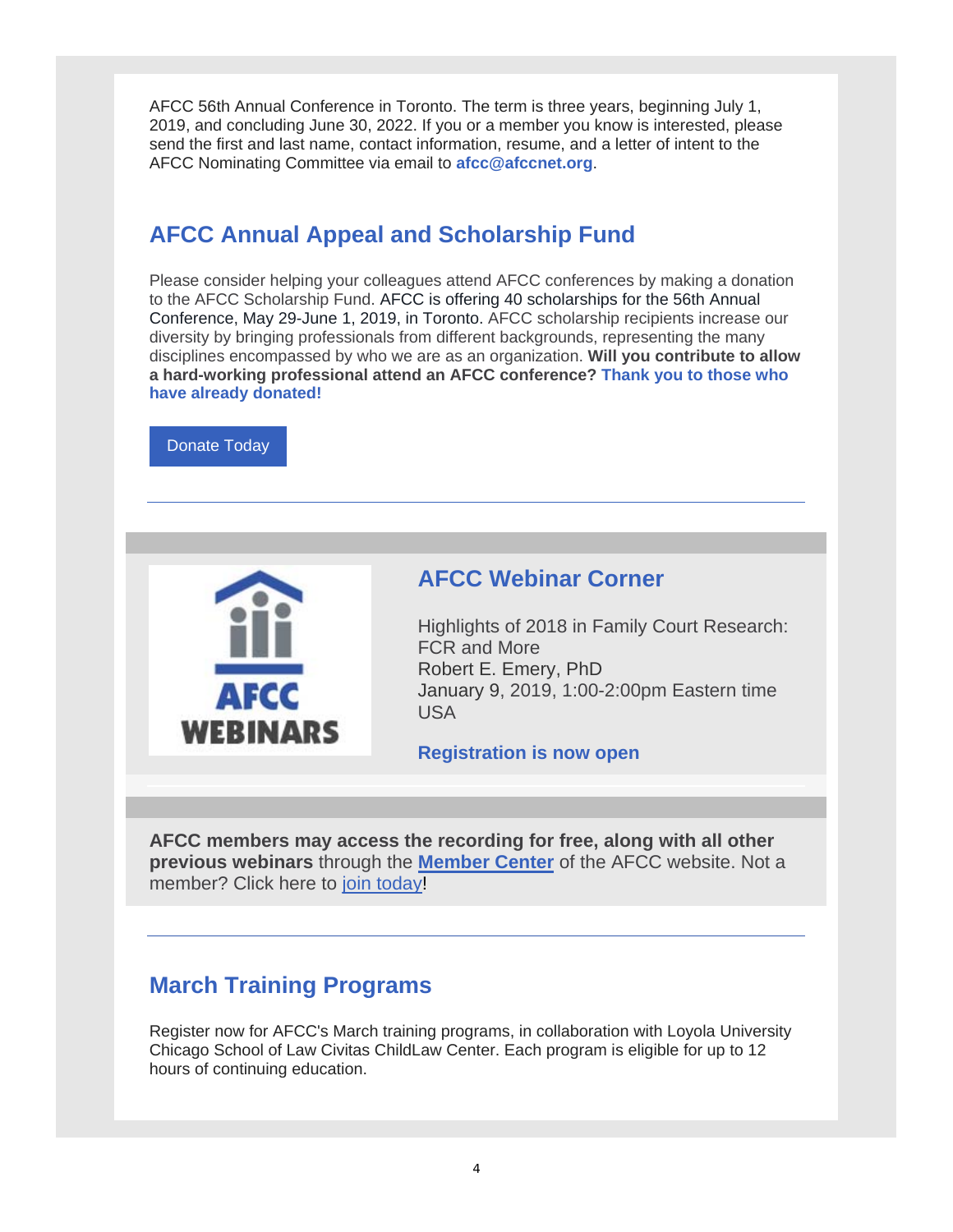AFCC 56th Annual Conference in Toronto. The term is three years, beginning July 1, 2019, and concluding June 30, 2022. If you or a member you know is interested, please send the first and last name, contact information, resume, and a letter of intent to the AFCC Nominating Committee via email to **afcc@afccnet.org**.

# **AFCC Annual Appeal and Scholarship Fund**

Please consider helping your colleagues attend AFCC conferences by making a donation to the AFCC Scholarship Fund. AFCC is offering 40 scholarships for the 56th Annual Conference, May 29-June 1, 2019, in Toronto. AFCC scholarship recipients increase our diversity by bringing professionals from different backgrounds, representing the many disciplines encompassed by who we are as an organization. **Will you contribute to allow a hard-working professional attend an AFCC conference? Thank you to those who have already donated!**

Donate Today



## **AFCC Webinar Corner**

Highlights of 2018 in Family Court Research: FCR and More Robert E. Emery, PhD January 9, 2019, 1:00-2:00pm Eastern time USA

**Registration is now open**

**AFCC members may access the recording for free, along with all other previous webinars** through the **Member Center** of the AFCC website. Not a member? Click here to join today!

## **March Training Programs**

Register now for AFCC's March training programs, in collaboration with Loyola University Chicago School of Law Civitas ChildLaw Center. Each program is eligible for up to 12 hours of continuing education.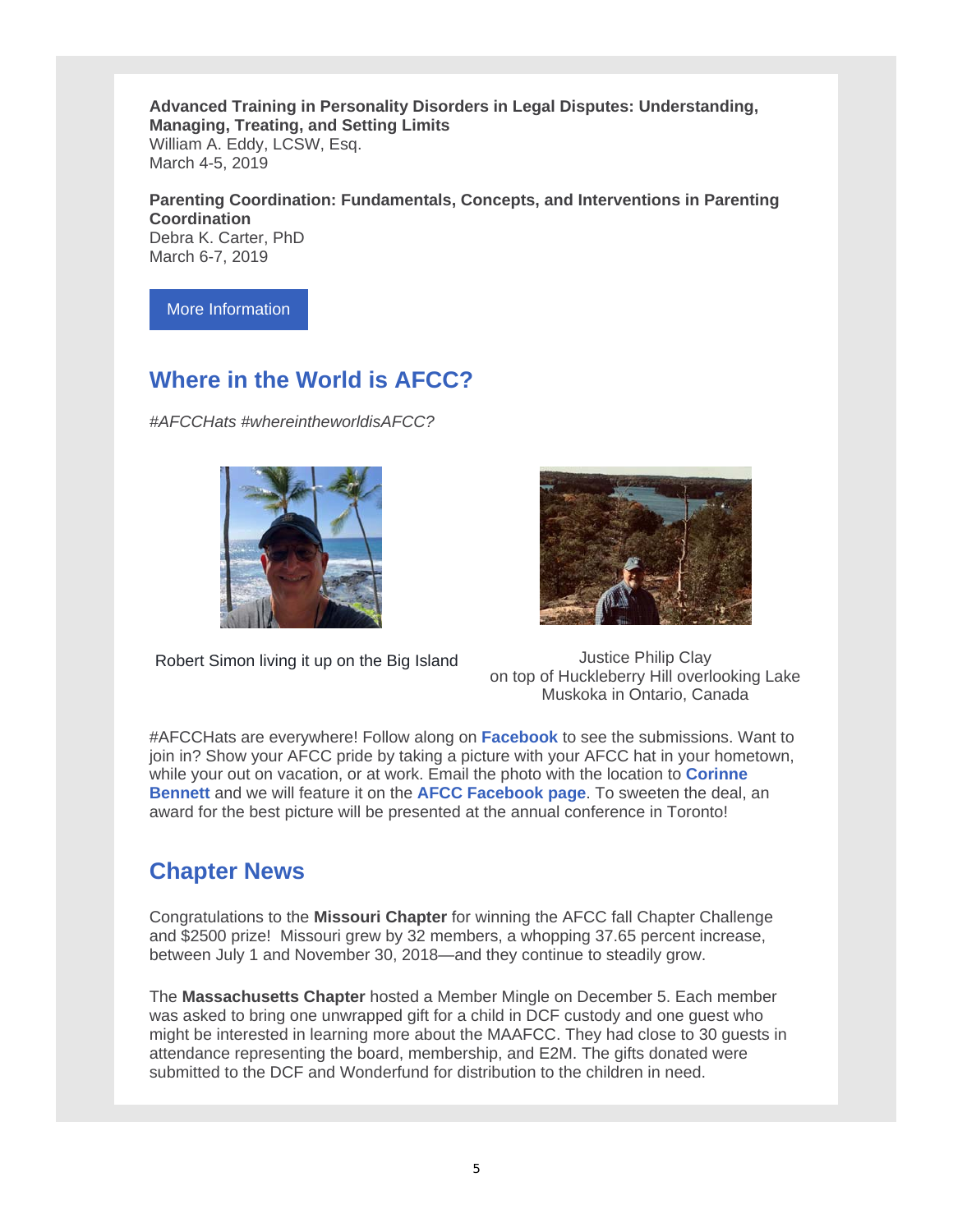**Advanced Training in Personality Disorders in Legal Disputes: Understanding, Managing, Treating, and Setting Limits** William A. Eddy, LCSW, Esq. March 4-5, 2019

**Parenting Coordination: Fundamentals, Concepts, and Interventions in Parenting Coordination** Debra K. Carter, PhD

March 6-7, 2019

More Information

## **Where in the World is AFCC?**

*#AFCCHats #whereintheworldisAFCC?*



Robert Simon living it up on the Big Island State Superintendial Unit Clay



on top of Huckleberry Hill overlooking Lake Muskoka in Ontario, Canada

#AFCCHats are everywhere! Follow along on **Facebook** to see the submissions. Want to join in? Show your AFCC pride by taking a picture with your AFCC hat in your hometown, while your out on vacation, or at work. Email the photo with the location to **Corinne Bennett** and we will feature it on the **AFCC Facebook page**. To sweeten the deal, an award for the best picture will be presented at the annual conference in Toronto!

## **Chapter News**

Congratulations to the **Missouri Chapter** for winning the AFCC fall Chapter Challenge and \$2500 prize! Missouri grew by 32 members, a whopping 37.65 percent increase, between July 1 and November 30, 2018—and they continue to steadily grow.

The **Massachusetts Chapter** hosted a Member Mingle on December 5. Each member was asked to bring one unwrapped gift for a child in DCF custody and one guest who might be interested in learning more about the MAAFCC. They had close to 30 guests in attendance representing the board, membership, and E2M. The gifts donated were submitted to the DCF and Wonderfund for distribution to the children in need.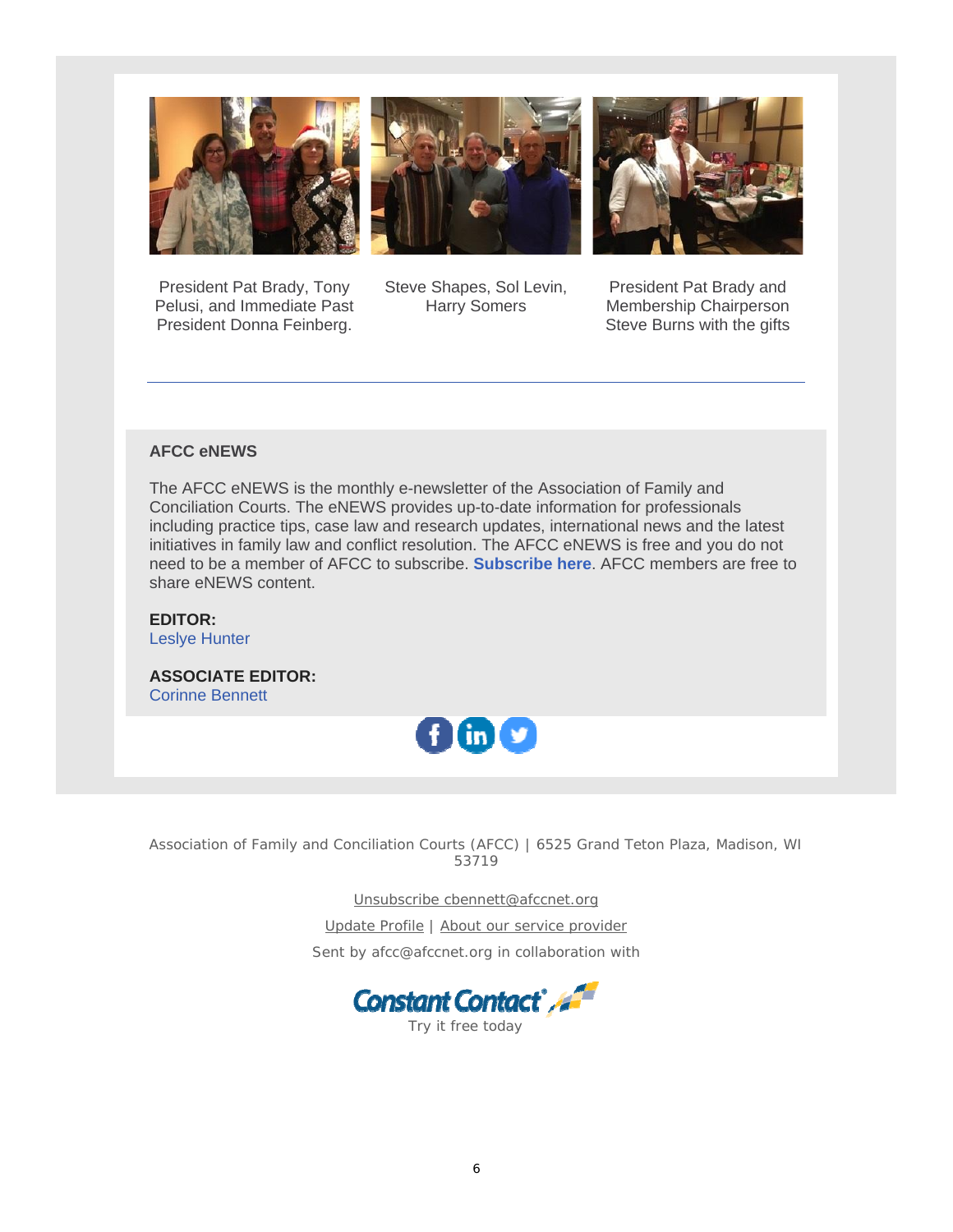

President Pat Brady, Tony Pelusi, and Immediate Past President Donna Feinberg.







President Pat Brady and Membership Chairperson Steve Burns with the gifts

### **AFCC eNEWS**

The AFCC eNEWS is the monthly e-newsletter of the Association of Family and Conciliation Courts. The eNEWS provides up-to-date information for professionals including practice tips, case law and research updates, international news and the latest initiatives in family law and conflict resolution. The AFCC eNEWS is free and you do not need to be a member of AFCC to subscribe. **Subscribe here**. AFCC members are free to share eNEWS content.

**EDITOR:** Leslye Hunter

**ASSOCIATE EDITOR:** Corinne Bennett



Association of Family and Conciliation Courts (AFCC) | 6525 Grand Teton Plaza, Madison, WI 53719

Unsubscribe cbennett@afccnet.org

Update Profile | About our service provider Sent by afcc@afccnet.org in collaboration with

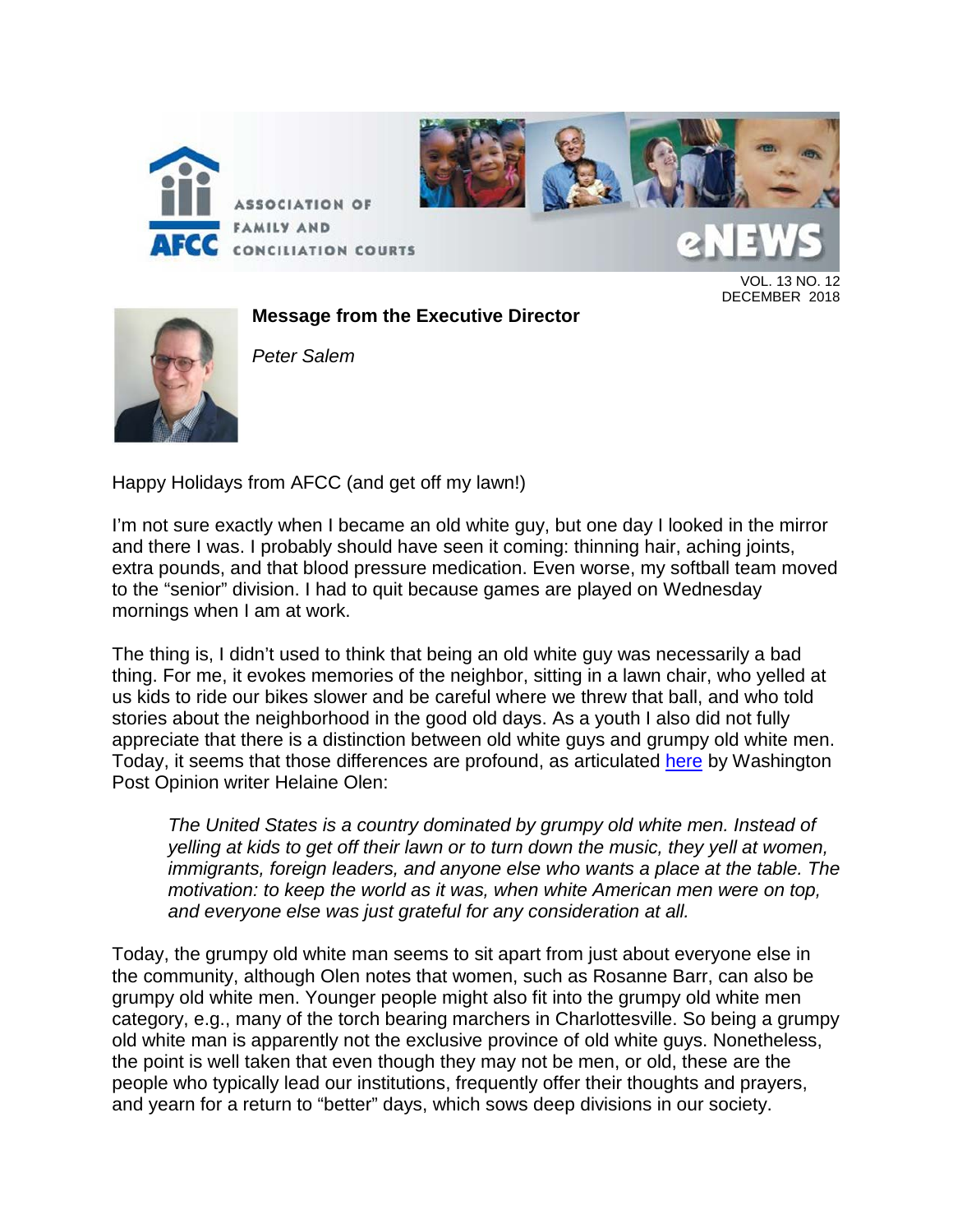

**CONCILIATION COURTS** 



**Message from the Executive Director**

VOL. 13 NO. 12 DECEMBER 2018



*Peter Salem*

Happy Holidays from AFCC (and get off my lawn!)

I'm not sure exactly when I became an old white guy, but one day I looked in the mirror and there I was. I probably should have seen it coming: thinning hair, aching joints, extra pounds, and that blood pressure medication. Even worse, my softball team moved to the "senior" division. I had to quit because games are played on Wednesday mornings when I am at work.

The thing is, I didn't used to think that being an old white guy was necessarily a bad thing. For me, it evokes memories of the neighbor, sitting in a lawn chair, who yelled at us kids to ride our bikes slower and be careful where we threw that ball, and who told stories about the neighborhood in the good old days. As a youth I also did not fully appreciate that there is a distinction between old white guys and grumpy old white men. Today, it seems that those differences are profound, as articulated [here](https://www.washingtonpost.com/blogs/post-partisan/wp/2018/06/13/president-trump-and-the-age-of-the-grumpy-old-white-man/?utm_term=.3f052bbed5ac) by Washington Post Opinion writer Helaine Olen:

*The United States is a country dominated by grumpy old white men. Instead of yelling at kids to get off their lawn or to turn down the music, they yell at women, immigrants, foreign leaders, and anyone else who wants a place at the table. The motivation: to keep the world as it was, when white American men were on top, and everyone else was just grateful for any consideration at all.*

Today, the grumpy old white man seems to sit apart from just about everyone else in the community, although Olen notes that women, such as Rosanne Barr, can also be grumpy old white men. Younger people might also fit into the grumpy old white men category, e.g., many of the torch bearing marchers in Charlottesville. So being a grumpy old white man is apparently not the exclusive province of old white guys. Nonetheless, the point is well taken that even though they may not be men, or old, these are the people who typically lead our institutions, frequently offer their thoughts and prayers, and yearn for a return to "better" days, which sows deep divisions in our society.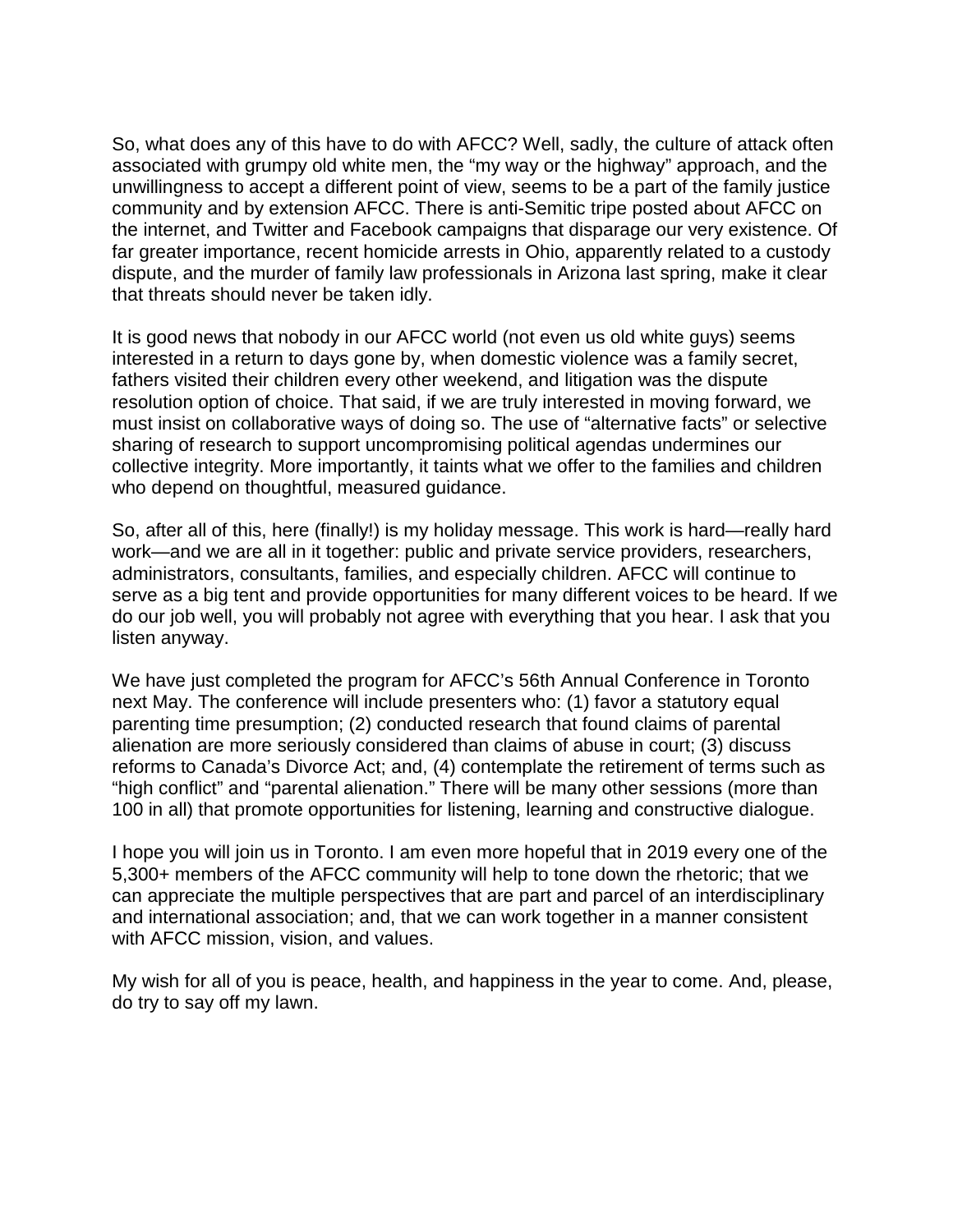So, what does any of this have to do with AFCC? Well, sadly, the culture of attack often associated with grumpy old white men, the "my way or the highway" approach, and the unwillingness to accept a different point of view, seems to be a part of the family justice community and by extension AFCC. There is anti-Semitic tripe posted about AFCC on the internet, and Twitter and Facebook campaigns that disparage our very existence. Of far greater importance, recent homicide arrests in Ohio, apparently related to a custody dispute, and the murder of family law professionals in Arizona last spring, make it clear that threats should never be taken idly.

It is good news that nobody in our AFCC world (not even us old white guys) seems interested in a return to days gone by, when domestic violence was a family secret, fathers visited their children every other weekend, and litigation was the dispute resolution option of choice. That said, if we are truly interested in moving forward, we must insist on collaborative ways of doing so. The use of "alternative facts" or selective sharing of research to support uncompromising political agendas undermines our collective integrity. More importantly, it taints what we offer to the families and children who depend on thoughtful, measured guidance.

So, after all of this, here (finally!) is my holiday message. This work is hard—really hard work—and we are all in it together: public and private service providers, researchers, administrators, consultants, families, and especially children. AFCC will continue to serve as a big tent and provide opportunities for many different voices to be heard. If we do our job well, you will probably not agree with everything that you hear. I ask that you listen anyway.

We have just completed the program for AFCC's 56th Annual Conference in Toronto next May. The conference will include presenters who: (1) favor a statutory equal parenting time presumption; (2) conducted research that found claims of parental alienation are more seriously considered than claims of abuse in court; (3) discuss reforms to Canada's Divorce Act; and, (4) contemplate the retirement of terms such as "high conflict" and "parental alienation." There will be many other sessions (more than 100 in all) that promote opportunities for listening, learning and constructive dialogue.

I hope you will join us in Toronto. I am even more hopeful that in 2019 every one of the 5,300+ members of the AFCC community will help to tone down the rhetoric; that we can appreciate the multiple perspectives that are part and parcel of an interdisciplinary and international association; and, that we can work together in a manner consistent with AFCC mission, vision, and values.

My wish for all of you is peace, health, and happiness in the year to come. And, please, do try to say off my lawn.